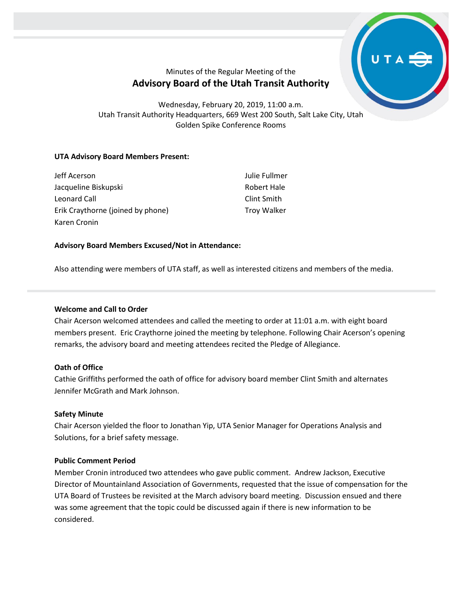# Minutes of the Regular Meeting of the **Advisory Board of the Utah Transit Authority**

Wednesday, February 20, 2019, 11:00 a.m. Utah Transit Authority Headquarters, 669 West 200 South, Salt Lake City, Utah Golden Spike Conference Rooms

# **UTA Advisory Board Members Present:**

| Jeff Acerson                      | Julie Fullmer      |
|-----------------------------------|--------------------|
| Jacqueline Biskupski              | Robert Hale        |
| Leonard Call                      | Clint Smith        |
| Erik Craythorne (joined by phone) | <b>Troy Walker</b> |
| Karen Cronin                      |                    |

# **Advisory Board Members Excused/Not in Attendance:**

Also attending were members of UTA staff, as well as interested citizens and members of the media.

# **Welcome and Call to Order**

Chair Acerson welcomed attendees and called the meeting to order at 11:01 a.m. with eight board members present. Eric Craythorne joined the meeting by telephone. Following Chair Acerson's opening remarks, the advisory board and meeting attendees recited the Pledge of Allegiance.

# **Oath of Office**

Cathie Griffiths performed the oath of office for advisory board member Clint Smith and alternates Jennifer McGrath and Mark Johnson.

# **Safety Minute**

Chair Acerson yielded the floor to Jonathan Yip, UTA Senior Manager for Operations Analysis and Solutions, for a brief safety message.

# **Public Comment Period**

Member Cronin introduced two attendees who gave public comment. Andrew Jackson, Executive Director of Mountainland Association of Governments, requested that the issue of compensation for the UTA Board of Trustees be revisited at the March advisory board meeting. Discussion ensued and there was some agreement that the topic could be discussed again if there is new information to be considered.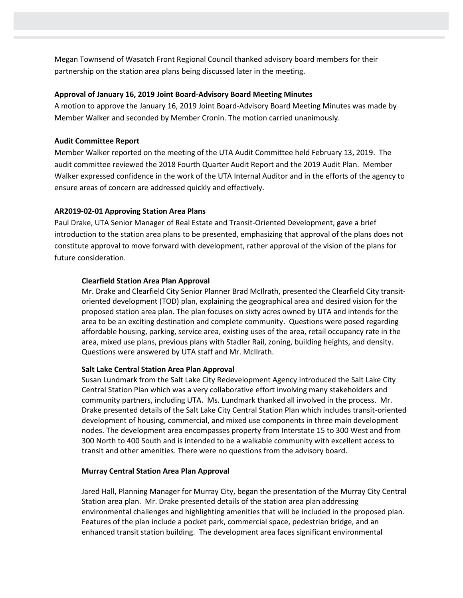Megan Townsend of Wasatch Front Regional Council thanked advisory board members for their partnership on the station area plans being discussed later in the meeting.

#### **Approval of January 16, 2019 Joint Board-Advisory Board Meeting Minutes**

A motion to approve the January 16, 2019 Joint Board-Advisory Board Meeting Minutes was made by Member Walker and seconded by Member Cronin. The motion carried unanimously.

#### **Audit Committee Report**

Member Walker reported on the meeting of the UTA Audit Committee held February 13, 2019. The audit committee reviewed the 2018 Fourth Quarter Audit Report and the 2019 Audit Plan. Member Walker expressed confidence in the work of the UTA Internal Auditor and in the efforts of the agency to ensure areas of concern are addressed quickly and effectively.

# **AR2019-02-01 Approving Station Area Plans**

Paul Drake, UTA Senior Manager of Real Estate and Transit-Oriented Development, gave a brief introduction to the station area plans to be presented, emphasizing that approval of the plans does not constitute approval to move forward with development, rather approval of the vision of the plans for future consideration.

# **Clearfield Station Area Plan Approval**

Mr. Drake and Clearfield City Senior Planner Brad McIlrath, presented the Clearfield City transitoriented development (TOD) plan, explaining the geographical area and desired vision for the proposed station area plan. The plan focuses on sixty acres owned by UTA and intends for the area to be an exciting destination and complete community. Questions were posed regarding affordable housing, parking, service area, existing uses of the area, retail occupancy rate in the area, mixed use plans, previous plans with Stadler Rail, zoning, building heights, and density. Questions were answered by UTA staff and Mr. McIlrath.

# **Salt Lake Central Station Area Plan Approval**

Susan Lundmark from the Salt Lake City Redevelopment Agency introduced the Salt Lake City Central Station Plan which was a very collaborative effort involving many stakeholders and community partners, including UTA. Ms. Lundmark thanked all involved in the process. Mr. Drake presented details of the Salt Lake City Central Station Plan which includes transit-oriented development of housing, commercial, and mixed use components in three main development nodes. The development area encompasses property from Interstate 15 to 300 West and from 300 North to 400 South and is intended to be a walkable community with excellent access to transit and other amenities. There were no questions from the advisory board.

# **Murray Central Station Area Plan Approval**

Jared Hall, Planning Manager for Murray City, began the presentation of the Murray City Central Station area plan. Mr. Drake presented details of the station area plan addressing environmental challenges and highlighting amenities that will be included in the proposed plan. Features of the plan include a pocket park, commercial space, pedestrian bridge, and an enhanced transit station building. The development area faces significant environmental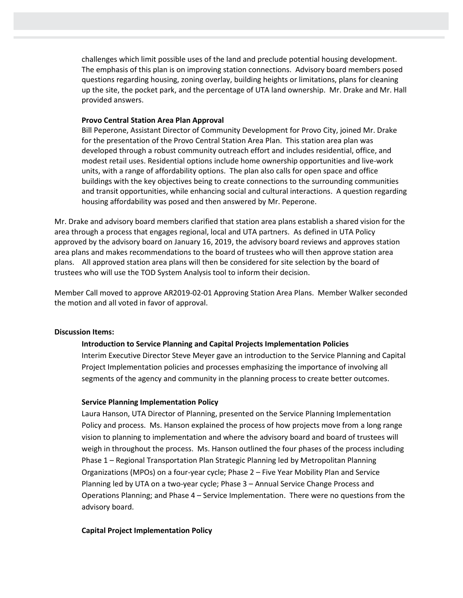challenges which limit possible uses of the land and preclude potential housing development. The emphasis of this plan is on improving station connections. Advisory board members posed questions regarding housing, zoning overlay, building heights or limitations, plans for cleaning up the site, the pocket park, and the percentage of UTA land ownership. Mr. Drake and Mr. Hall provided answers.

#### **Provo Central Station Area Plan Approval**

Bill Peperone, Assistant Director of Community Development for Provo City, joined Mr. Drake for the presentation of the Provo Central Station Area Plan. This station area plan was developed through a robust community outreach effort and includes residential, office, and modest retail uses. Residential options include home ownership opportunities and live-work units, with a range of affordability options. The plan also calls for open space and office buildings with the key objectives being to create connections to the surrounding communities and transit opportunities, while enhancing social and cultural interactions. A question regarding housing affordability was posed and then answered by Mr. Peperone.

Mr. Drake and advisory board members clarified that station area plans establish a shared vision for the area through a process that engages regional, local and UTA partners. As defined in UTA Policy approved by the advisory board on January 16, 2019, the advisory board reviews and approves station area plans and makes recommendations to the board of trustees who will then approve station area plans. All approved station area plans will then be considered for site selection by the board of trustees who will use the TOD System Analysis tool to inform their decision.

Member Call moved to approve AR2019-02-01 Approving Station Area Plans. Member Walker seconded the motion and all voted in favor of approval.

#### **Discussion Items:**

#### **Introduction to Service Planning and Capital Projects Implementation Policies**

Interim Executive Director Steve Meyer gave an introduction to the Service Planning and Capital Project Implementation policies and processes emphasizing the importance of involving all segments of the agency and community in the planning process to create better outcomes.

#### **Service Planning Implementation Policy**

Laura Hanson, UTA Director of Planning, presented on the Service Planning Implementation Policy and process. Ms. Hanson explained the process of how projects move from a long range vision to planning to implementation and where the advisory board and board of trustees will weigh in throughout the process. Ms. Hanson outlined the four phases of the process including Phase 1 – Regional Transportation Plan Strategic Planning led by Metropolitan Planning Organizations (MPOs) on a four-year cycle; Phase 2 – Five Year Mobility Plan and Service Planning led by UTA on a two-year cycle; Phase 3 – Annual Service Change Process and Operations Planning; and Phase 4 – Service Implementation. There were no questions from the advisory board.

#### **Capital Project Implementation Policy**